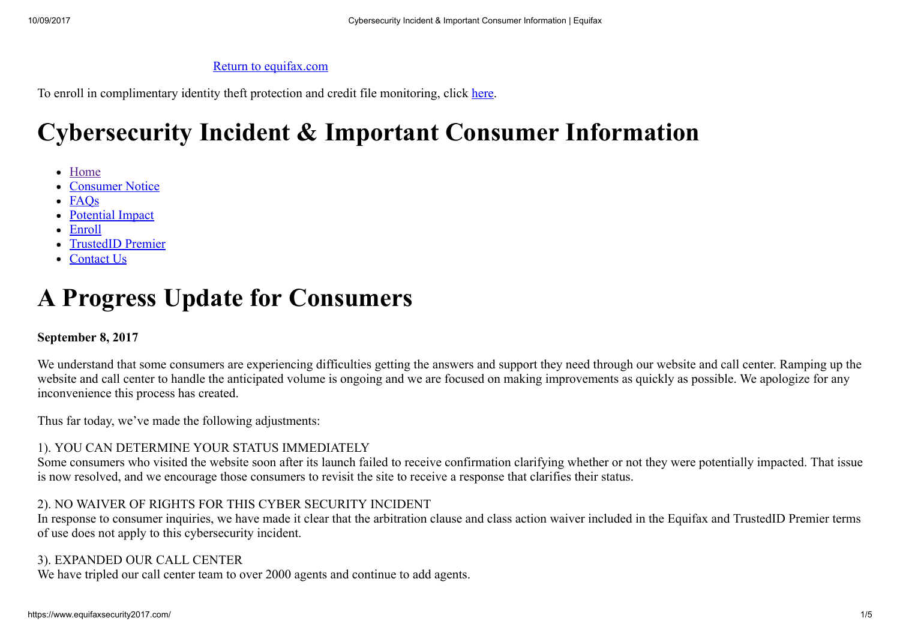#### Return to [equifax.com](https://equifax.com/)

To enroll in complimentary identity theft protection and credit file monitoring, click [here.](https://trustedidpremier.com/eligibility/eligibility.html)

# Cybersecurity Incident & Important Consumer Information

- [Home](https://www.equifaxsecurity2017.com/)
- [Consumer](https://www.equifaxsecurity2017.com/consumer-notice/) Notice
- [FAQs](https://www.equifaxsecurity2017.com/frequently-asked-questions/)
- [Potential](https://www.equifaxsecurity2017.com/potential-impact/) Impact
- [Enroll](https://www.equifaxsecurity2017.com/enroll/)
- [TrustedID](https://www.equifaxsecurity2017.com/trustedid-premier/) Premier
- [Contact](https://www.equifaxsecurity2017.com/contact-us/) Us

# A Progress Update for Consumers

#### September 8, 2017

We understand that some consumers are experiencing difficulties getting the answers and support they need through our website and call center. Ramping up the website and call center to handle the anticipated volume is ongoing and we are focused on making improvements as quickly as possible. We apologize for any inconvenience this process has created.

Thus far today, we've made the following adjustments:

#### 1). YOU CAN DETERMINE YOUR STATUS IMMEDIATELY

Some consumers who visited the website soon after its launch failed to receive confirmation clarifying whether or not they were potentially impacted. That issue is now resolved, and we encourage those consumers to revisit the site to receive a response that clarifies their status.

#### 2). NO WAIVER OF RIGHTS FOR THIS CYBER SECURITY INCIDENT

In response to consumer inquiries, we have made it clear that the arbitration clause and class action waiver included in the Equifax and TrustedID Premier terms of use does not apply to this cybersecurity incident.

#### 3). EXPANDED OUR CALL CENTER

We have tripled our call center team to over 2000 agents and continue to add agents.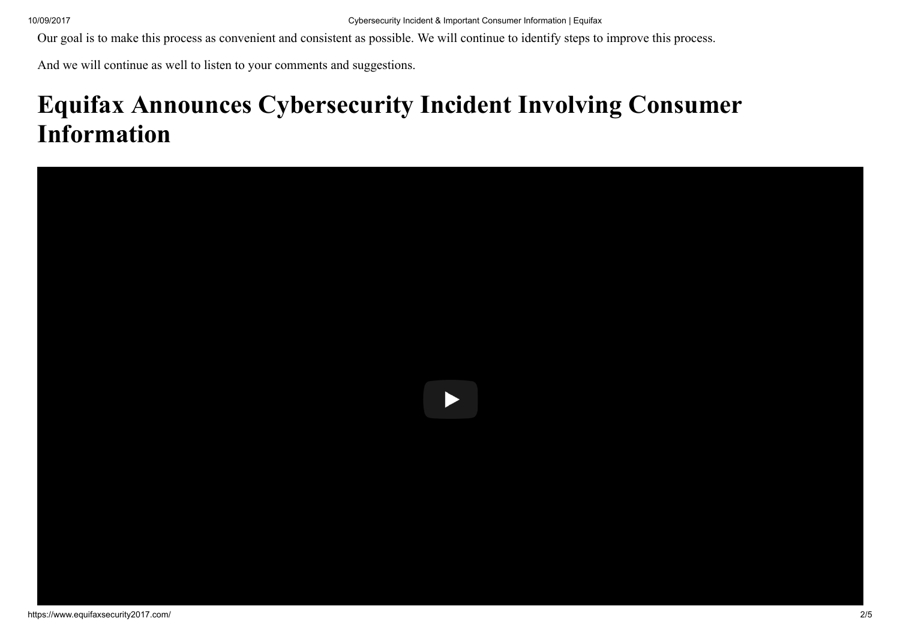Our goal is to make this process as convenient and consistent as possible. We will continue to identify steps to improve this process.

And we will continue as well to listen to your comments and suggestions.

# Equifax Announces Cybersecurity Incident Involving Consumer Information

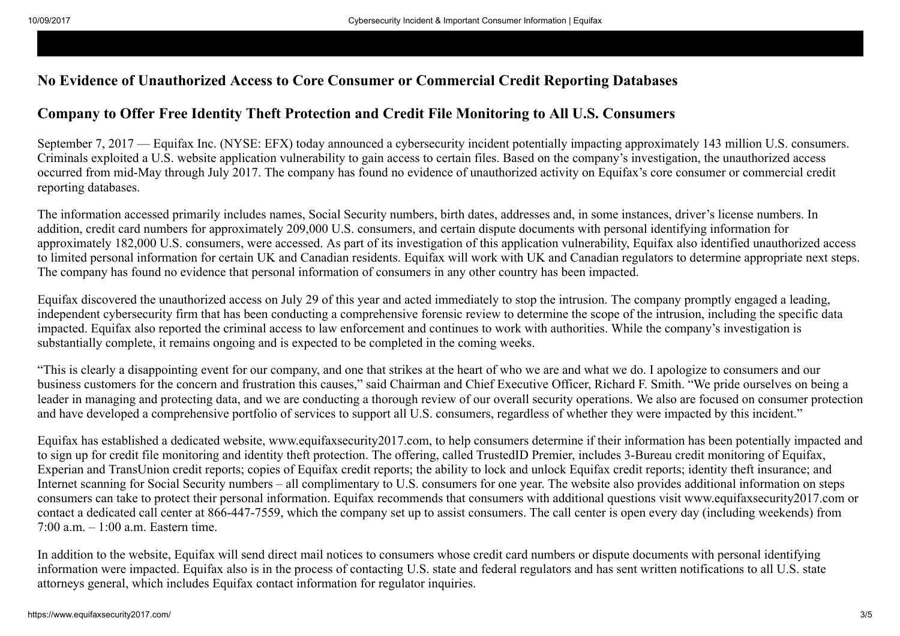### No Evidence of Unauthorized Access to Core Consumer or Commercial Credit Reporting Databases

### Company to Offer Free Identity Theft Protection and Credit File Monitoring to All U.S. Consumers

September 7, 2017 — Equifax Inc. (NYSE: EFX) today announced a cybersecurity incident potentially impacting approximately 143 million U.S. consumers. Criminals exploited a U.S. website application vulnerability to gain access to certain files. Based on the company's investigation, the unauthorized access occurred from mid-May through July 2017. The company has found no evidence of unauthorized activity on Equifax's core consumer or commercial credit reporting databases.

The information accessed primarily includes names, Social Security numbers, birth dates, addresses and, in some instances, driver's license numbers. In addition, credit card numbers for approximately 209,000 U.S. consumers, and certain dispute documents with personal identifying information for approximately 182,000 U.S. consumers, were accessed. As part of its investigation of this application vulnerability, Equifax also identified unauthorized access to limited personal information for certain UK and Canadian residents. Equifax will work with UK and Canadian regulators to determine appropriate next steps. The company has found no evidence that personal information of consumers in any other country has been impacted.

Equifax discovered the unauthorized access on July 29 of this year and acted immediately to stop the intrusion. The company promptly engaged a leading, independent cybersecurity firm that has been conducting a comprehensive forensic review to determine the scope of the intrusion, including the specific data impacted. Equifax also reported the criminal access to law enforcement and continues to work with authorities. While the company's investigation is substantially complete, it remains ongoing and is expected to be completed in the coming weeks.

"This is clearly a disappointing event for our company, and one that strikes at the heart of who we are and what we do. I apologize to consumers and our business customers for the concern and frustration this causes," said Chairman and Chief Executive Officer, Richard F. Smith. "We pride ourselves on being a leader in managing and protecting data, and we are conducting a thorough review of our overall security operations. We also are focused on consumer protection and have developed a comprehensive portfolio of services to support all U.S. consumers, regardless of whether they were impacted by this incident."

Equifax has established a dedicated website, www.equifaxsecurity2017.com, to help consumers determine if their information has been potentially impacted and to sign up for credit file monitoring and identity theft protection. The offering, called TrustedID Premier, includes 3-Bureau credit monitoring of Equifax, Experian and TransUnion credit reports; copies of Equifax credit reports; the ability to lock and unlock Equifax credit reports; identity theft insurance; and Internet scanning for Social Security numbers – all complimentary to U.S. consumers for one year. The website also provides additional information on steps consumers can take to protect their personal information. Equifax recommends that consumers with additional questions visit www.equifaxsecurity2017.com or contact a dedicated call center at 866-447-7559, which the company set up to assist consumers. The call center is open every day (including weekends) from 7:00 a.m. – 1:00 a.m. Eastern time.

In addition to the website, Equifax will send direct mail notices to consumers whose credit card numbers or dispute documents with personal identifying information were impacted. Equifax also is in the process of contacting U.S. state and federal regulators and has sent written notifications to all U.S. state attorneys general, which includes Equifax contact information for regulator inquiries.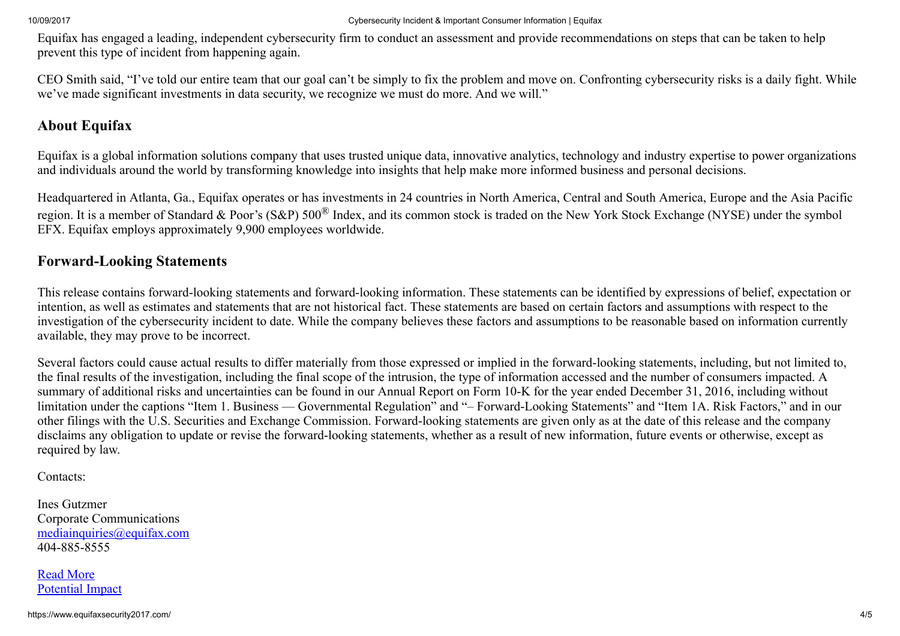Equifax has engaged a leading, independent cybersecurity firm to conduct an assessment and provide recommendations on steps that can be taken to help prevent this type of incident from happening again.

CEO Smith said, "I've told our entire team that our goal can't be simply to fix the problem and move on. Confronting cybersecurity risks is a daily fight. While we've made significant investments in data security, we recognize we must do more. And we will."

## About Equifax

Equifax is a global information solutions company that uses trusted unique data, innovative analytics, technology and industry expertise to power organizations and individuals around the world by transforming knowledge into insights that help make more informed business and personal decisions.

Headquartered in Atlanta, Ga., Equifax operates or has investments in 24 countries in North America, Central and South America, Europe and the Asia Pacific region. It is a member of Standard & Poor's (S&P) 500<sup>®</sup> Index, and its common stock is traded on the New York Stock Exchange (NYSE) under the symbol EFX. Equifax employs approximately 9,900 employees worldwide.

### Forward-Looking Statements

This release contains forward-looking statements and forward-looking information. These statements can be identified by expressions of belief, expectation or intention, as well as estimates and statements that are not historical fact. These statements are based on certain factors and assumptions with respect to the investigation of the cybersecurity incident to date. While the company believes these factors and assumptions to be reasonable based on information currently available, they may prove to be incorrect.

Several factors could cause actual results to differ materially from those expressed or implied in the forward-looking statements, including, but not limited to, the final results of the investigation, including the final scope of the intrusion, the type of information accessed and the number of consumers impacted. A summary of additional risks and uncertainties can be found in our Annual Report on Form 10-K for the year ended December 31, 2016, including without limitation under the captions "Item 1. Business — Governmental Regulation" and "– Forward-Looking Statements" and "Item 1A. Risk Factors," and in our other filings with the U.S. Securities and Exchange Commission. Forward-looking statements are given only as at the date of this release and the company disclaims any obligation to update or revise the forward-looking statements, whether as a result of new information, future events or otherwise, except as required by law.

Contacts:

Ines Gutzmer Corporate Communications [mediainquiries@equifax.com](mailto:mediainquiries@equifax.com) 404-885-8555

Read More [Potential](https://www.equifaxsecurity2017.com/potential-impact/) Impact